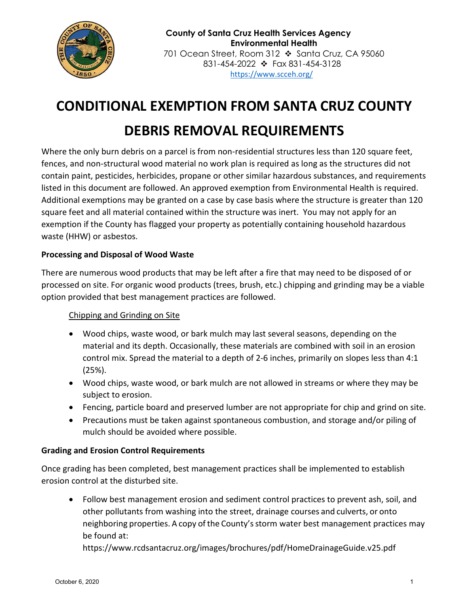

# **CONDITIONAL EXEMPTION FROM SANTA CRUZ COUNTY DEBRIS REMOVAL REQUIREMENTS**

Where the only burn debris on a parcel is from non-residential structures less than 120 square feet, fences, and non-structural wood material no work plan is required as long as the structures did not contain paint, pesticides, herbicides, propane or other similar hazardous substances, and requirements listed in this document are followed. An approved exemption from Environmental Health is required. Additional exemptions may be granted on a case by case basis where the structure is greater than 120 square feet and all material contained within the structure was inert. You may not apply for an exemption if the County has flagged your property as potentially containing household hazardous waste (HHW) or asbestos.

# **Processing and Disposal of Wood Waste**

There are numerous wood products that may be left after a fire that may need to be disposed of or processed on site. For organic wood products (trees, brush, etc.) chipping and grinding may be a viable option provided that best management practices are followed.

# Chipping and Grinding on Site

- Wood chips, waste wood, or bark mulch may last several seasons, depending on the material and its depth. Occasionally, these materials are combined with soil in an erosion control mix. Spread the material to a depth of 2-6 inches, primarily on slopes less than 4:1 (25%).
- Wood chips, waste wood, or bark mulch are not allowed in streams or where they may be subject to erosion.
- Fencing, particle board and preserved lumber are not appropriate for chip and grind on site.
- Precautions must be taken against spontaneous combustion, and storage and/or piling of mulch should be avoided where possible.

# **Grading and Erosion Control Requirements**

Once grading has been completed, best management practices shall be implemented to establish erosion control at the disturbed site.

• Follow best management erosion and sediment control practices to prevent ash, soil, and other pollutants from washing into the street, drainage courses and culverts, or onto neighboring properties. A copy of the County's storm water best management practices may be found at:

https://www.rcdsantacruz.org/images/brochures/pdf/HomeDrainageGuide.v25.pdf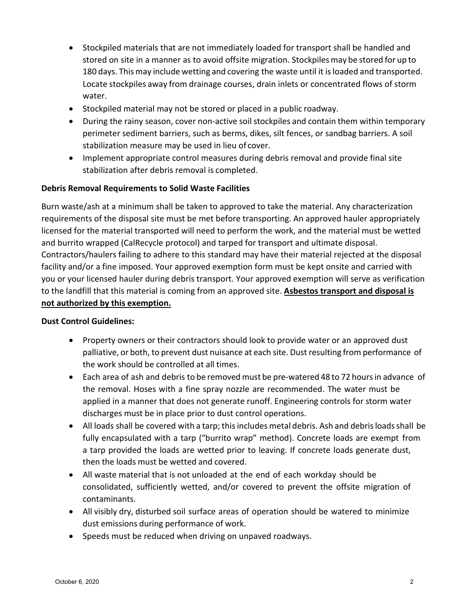- Stockpiled materials that are not immediately loaded for transport shall be handled and stored on site in a manner as to avoid offsite migration. Stockpilesmay be stored for up to 180 days. This may include wetting and covering the waste until it is loaded and transported. Locate stockpiles away from drainage courses, drain inlets or concentrated flows of storm water.
- Stockpiled material may not be stored or placed in a public roadway.
- During the rainy season, cover non-active soil stockpiles and contain them within temporary perimeter sediment barriers, such as berms, dikes, silt fences, or sandbag barriers. A soil stabilization measure may be used in lieu of cover.
- Implement appropriate control measures during debris removal and provide final site stabilization after debris removal is completed.

## **Debris Removal Requirements to Solid Waste Facilities**

Burn waste/ash at a minimum shall be taken to approved to take the material. Any characterization requirements of the disposal site must be met before transporting. An approved hauler appropriately licensed for the material transported will need to perform the work, and the material must be wetted and burrito wrapped (CalRecycle protocol) and tarped for transport and ultimate disposal. Contractors/haulers failing to adhere to this standard may have their material rejected at the disposal facility and/or a fine imposed. Your approved exemption form must be kept onsite and carried with you or your licensed hauler during debris transport. Your approved exemption will serve as verification to the landfill that this material is coming from an approved site. **Asbestos transport and disposal is not authorized by this exemption.**

### **Dust Control Guidelines:**

- Property owners or their contractors should look to provide water or an approved dust palliative, or both, to prevent dust nuisance at each site. Dust resulting from performance of the work should be controlled at all times.
- Each area of ash and debris to be removed must be pre-watered 48 to 72 hours in advance of the removal. Hoses with a fine spray nozzle are recommended. The water must be applied in a manner that does not generate runoff. Engineering controls for storm water discharges must be in place prior to dust control operations.
- All loads shall be covered with a tarp; this includes metal debris. Ash and debris loads shall be fully encapsulated with a tarp ("burrito wrap" method). Concrete loads are exempt from a tarp provided the loads are wetted prior to leaving. If concrete loads generate dust, then the loads must be wetted and covered.
- All waste material that is not unloaded at the end of each workday should be consolidated, sufficiently wetted, and/or covered to prevent the offsite migration of contaminants.
- All visibly dry, disturbed soil surface areas of operation should be watered to minimize dust emissions during performance of work.
- Speeds must be reduced when driving on unpaved roadways.